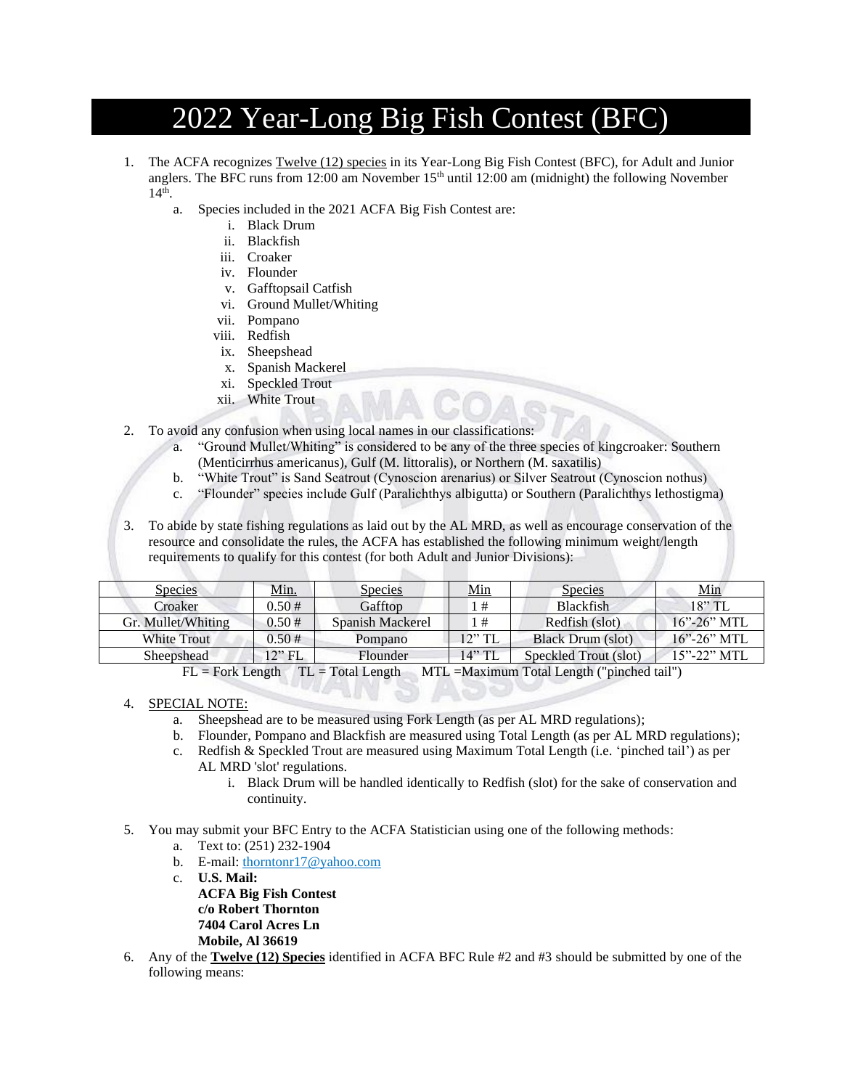## 2022 Year-Long Big Fish Contest (BFC)

- 1. The ACFA recognizes Twelve (12) species in its Year-Long Big Fish Contest (BFC), for Adult and Junior anglers. The BFC runs from 12:00 am November  $15<sup>th</sup>$  until 12:00 am (midnight) the following November 14th .
	- a. Species included in the 2021 ACFA Big Fish Contest are:
		- i. Black Drum
		- ii. Blackfish
		- iii. Croaker
		- iv. Flounder
		- v. Gafftopsail Catfish
		- vi. Ground Mullet/Whiting
		- vii. Pompano
		- viii. Redfish
		- ix. Sheepshead
		- x. Spanish Mackerel
		- xi. Speckled Trout
		- xii. White Trout
- 2. To avoid any confusion when using local names in our classifications:
	- a. "Ground Mullet/Whiting" is considered to be any of the three species of kingcroaker: Southern (Menticirrhus americanus), Gulf (M. littoralis), or Northern (M. saxatilis)
	- b. "White Trout" is Sand Seatrout (Cynoscion arenarius) or Silver Seatrout (Cynoscion nothus)
	- c. "Flounder" species include Gulf (Paralichthys albigutta) or Southern (Paralichthys lethostigma)
- 3. To abide by state fishing regulations as laid out by the AL MRD, as well as encourage conservation of the resource and consolidate the rules, the ACFA has established the following minimum weight/length requirements to qualify for this contest (for both Adult and Junior Divisions):

**Die** 

| <b>Species</b>     | Min.      | <b>Species</b>   | Min      | <b>Species</b>        | <u>Min</u>      |  |
|--------------------|-----------|------------------|----------|-----------------------|-----------------|--|
| Croaker            | $0.50 \#$ | Gafftop          |          | <b>Blackfish</b>      | $18"$ TL        |  |
| Gr. Mullet/Whiting | 0.50#     | Spanish Mackerel |          | Redfish (slot)        | $16$ "-26" MTL  |  |
| <b>White Trout</b> | 0.50#     | Pompano          | $12"$ TL | Black Drum (slot)     | $16" - 26"$ MTL |  |
| Sheepshead         | $12"$ FL  | Flounder         | 14"T1    | Speckled Trout (slot) | $15" - 22"$ MTL |  |

 $FL = Fork Length \tTL = Total Length \t MTL = Maximum Total Length \t ("pinched tail")$ 

## 4. SPECIAL NOTE:

- a. Sheepshead are to be measured using Fork Length (as per AL MRD regulations);
- b. Flounder, Pompano and Blackfish are measured using Total Length (as per AL MRD regulations);
- c. Redfish & Speckled Trout are measured using Maximum Total Length (i.e. 'pinched tail') as per AL MRD 'slot' regulations.
	- i. Black Drum will be handled identically to Redfish (slot) for the sake of conservation and continuity.
- 5. You may submit your BFC Entry to the ACFA Statistician using one of the following methods:
	- a. Text to: (251) 232-1904
	- b. E-mail[: thorntonr17@yahoo.com](mailto:thorntonr17@yahoo.com)
	- c. **U.S. Mail: ACFA Big Fish Contest c/o Robert Thornton 7404 Carol Acres Ln Mobile, Al 36619**
- 6. Any of the **Twelve (12) Species** identified in ACFA BFC Rule #2 and #3 should be submitted by one of the following means: